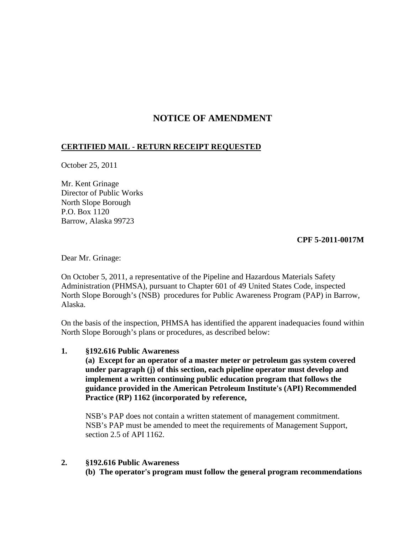# **NOTICE OF AMENDMENT**

# **CERTIFIED MAIL - RETURN RECEIPT REQUESTED**

October 25, 2011

Mr. Kent Grinage Director of Public Works North Slope Borough P.O. Box 1120 Barrow, Alaska 99723

# **CPF 5-2011-0017M**

Dear Mr. Grinage:

On October 5, 2011, a representative of the Pipeline and Hazardous Materials Safety Administration (PHMSA), pursuant to Chapter 601 of 49 United States Code, inspected North Slope Borough's (NSB) procedures for Public Awareness Program (PAP) in Barrow, Alaska.

On the basis of the inspection, PHMSA has identified the apparent inadequacies found within North Slope Borough's plans or procedures, as described below:

#### **1. §192.616 Public Awareness**

**(a) Except for an operator of a master meter or petroleum gas system covered under paragraph (j) of this section, each pipeline operator must develop and implement a written continuing public education program that follows the guidance provided in the American Petroleum Institute's (API) Recommended Practice (RP) 1162 (incorporated by reference,**

NSB's PAP does not contain a written statement of management commitment. NSB's PAP must be amended to meet the requirements of Management Support, section 2.5 of API 1162.

#### **2. §192.616 Public Awareness**

**(b) The operator's program must follow the general program recommendations**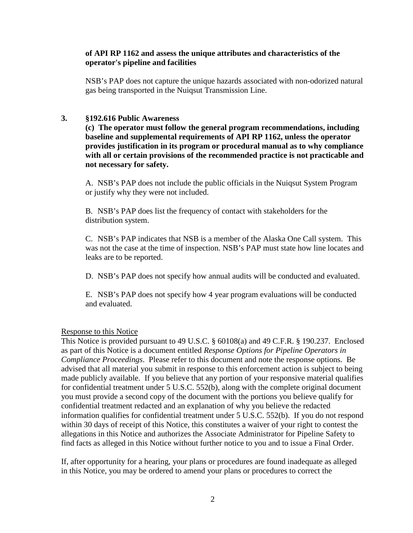## **of API RP 1162 and assess the unique attributes and characteristics of the operator's pipeline and facilities**

NSB's PAP does not capture the unique hazards associated with non-odorized natural gas being transported in the Nuiqsut Transmission Line.

## **3. §192.616 Public Awareness**

**(c) The operator must follow the general program recommendations, including baseline and supplemental requirements of API RP 1162, unless the operator provides justification in its program or procedural manual as to why compliance with all or certain provisions of the recommended practice is not practicable and not necessary for safety.**

A. NSB's PAP does not include the public officials in the Nuiqsut System Program or justify why they were not included.

B. NSB's PAP does list the frequency of contact with stakeholders for the distribution system.

C. NSB's PAP indicates that NSB is a member of the Alaska One Call system. This was not the case at the time of inspection. NSB's PAP must state how line locates and leaks are to be reported.

D. NSB's PAP does not specify how annual audits will be conducted and evaluated.

E. NSB's PAP does not specify how 4 year program evaluations will be conducted and evaluated.

#### Response to this Notice

This Notice is provided pursuant to 49 U.S.C. § 60108(a) and 49 C.F.R. § 190.237. Enclosed as part of this Notice is a document entitled *Response Options for Pipeline Operators in Compliance Proceedings*. Please refer to this document and note the response options. Be advised that all material you submit in response to this enforcement action is subject to being made publicly available. If you believe that any portion of your responsive material qualifies for confidential treatment under 5 U.S.C. 552(b), along with the complete original document you must provide a second copy of the document with the portions you believe qualify for confidential treatment redacted and an explanation of why you believe the redacted information qualifies for confidential treatment under 5 U.S.C. 552(b). If you do not respond within 30 days of receipt of this Notice, this constitutes a waiver of your right to contest the allegations in this Notice and authorizes the Associate Administrator for Pipeline Safety to find facts as alleged in this Notice without further notice to you and to issue a Final Order.

If, after opportunity for a hearing, your plans or procedures are found inadequate as alleged in this Notice, you may be ordered to amend your plans or procedures to correct the